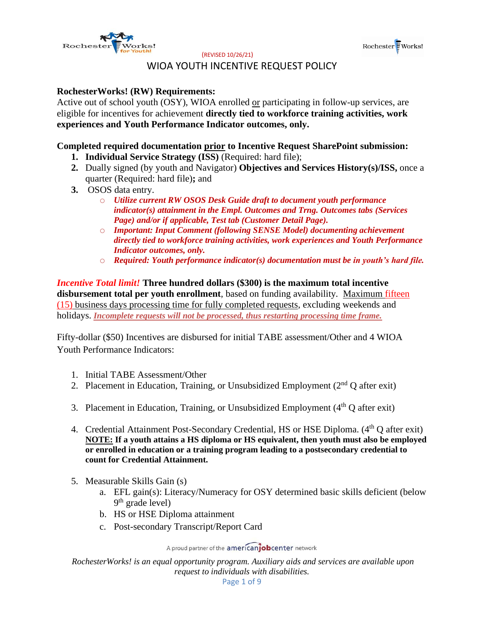



## WIOA YOUTH INCENTIVE REQUEST POLICY

#### **RochesterWorks! (RW) Requirements:**

Active out of school youth (OSY), WIOA enrolled or participating in follow-up services, are eligible for incentives for achievement **directly tied to workforce training activities, work experiences and Youth Performance Indicator outcomes, only.**

#### **Completed required documentation prior to Incentive Request SharePoint submission:**

- **1. Individual Service Strategy (ISS)** (Required: hard file);
- **2.** Dually signed (by youth and Navigator) **Objectives and Services History(s)/ISS,** once a quarter (Required: hard file)**;** and
- **3.** OSOS data entry.
	- o *Utilize current RW OSOS Desk Guide draft to document youth performance indicator(s) attainment in the Empl. Outcomes and Trng. Outcomes tabs (Services Page) and/or if applicable, Test tab (Customer Detail Page).*
	- o *Important: Input Comment (following SENSE Model) documenting achievement directly tied to workforce training activities, work experiences and Youth Performance Indicator outcomes, only.*
	- o *Required: Youth performance indicator(s) documentation must be in youth's hard file.*

*Incentive Total limit!* **Three hundred dollars (\$300) is the maximum total incentive disbursement total per youth enrollment**, based on funding availability*.* Maximum fifteen (15) business days processing time for fully completed requests, excluding weekends and holidays. *Incomplete requests will not be processed, thus restarting processing time frame.*

Fifty-dollar (\$50) Incentives are disbursed for initial TABE assessment/Other and 4 WIOA Youth Performance Indicators:

- 1. Initial TABE Assessment/Other
- 2. Placement in Education, Training, or Unsubsidized Employment ( $2<sup>nd</sup>$  Q after exit)
- 3. Placement in Education, Training, or Unsubsidized Employment  $(4<sup>th</sup> Q$  after exit)
- 4. Credential Attainment Post-Secondary Credential, HS or HSE Diploma. (4<sup>th</sup> Q after exit) **NOTE: If a youth attains a HS diploma or HS equivalent, then youth must also be employed or enrolled in education or a training program leading to a postsecondary credential to count for Credential Attainment.**
- 5. Measurable Skills Gain (s)
	- a. EFL gain(s): Literacy/Numeracy for OSY determined basic skills deficient (below 9<sup>th</sup> grade level)
	- b. HS or HSE Diploma attainment
	- c. Post-secondary Transcript/Report Card

A proud partner of the americanjobcenter network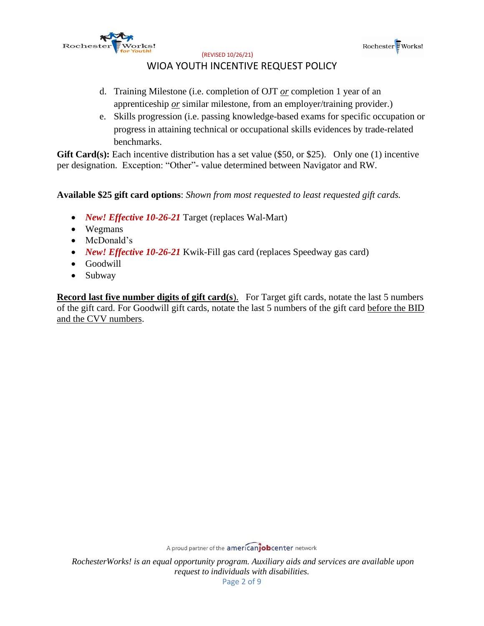



## WIOA YOUTH INCENTIVE REQUEST POLICY

- d. Training Milestone (i.e. completion of OJT *or* completion 1 year of an apprenticeship *or* similar milestone, from an employer/training provider.)
- e. Skills progression (i.e. passing knowledge-based exams for specific occupation or progress in attaining technical or occupational skills evidences by trade-related benchmarks.

Gift Card(s): Each incentive distribution has a set value (\$50, or \$25). Only one (1) incentive per designation. Exception: "Other"- value determined between Navigator and RW.

**Available \$25 gift card options**: *Shown from most requested to least requested gift cards.*

- *New! Effective 10-26-21* Target (replaces Wal-Mart)
- Wegmans
- McDonald's
- *New! Effective 10-26-21* Kwik-Fill gas card (replaces Speedway gas card)
- Goodwill
- Subway

**Record last five number digits of gift card(s).** For Target gift cards, notate the last 5 numbers of the gift card. For Goodwill gift cards, notate the last 5 numbers of the gift card before the BID and the CVV numbers.

A proud partner of the americanjobcenter network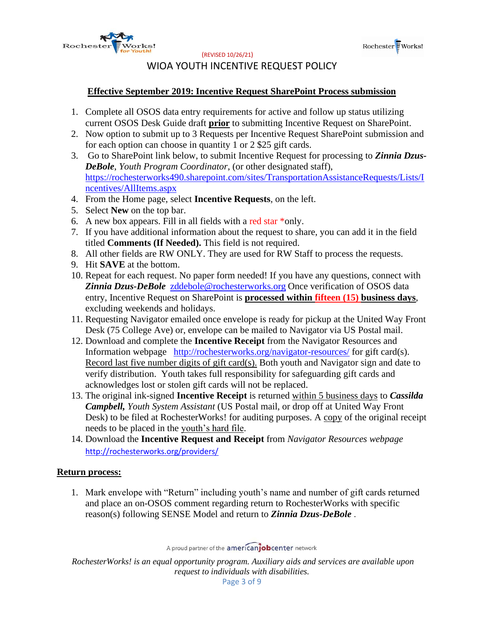



# WIOA YOUTH INCENTIVE REQUEST POLICY

## **Effective September 2019: Incentive Request SharePoint Process submission**

- 1. Complete all OSOS data entry requirements for active and follow up status utilizing current OSOS Desk Guide draft **prior** to submitting Incentive Request on SharePoint.
- 2. Now option to submit up to 3 Requests per Incentive Request SharePoint submission and for each option can choose in quantity 1 or 2 \$25 gift cards.
- 3. Go to SharePoint link below, to submit Incentive Request for processing to *Zinnia Dzus-DeBole*, *Youth Program Coordinator*, (or other designated staff), [https://rochesterworks490.sharepoint.com/sites/TransportationAssistanceRequests/Lists/I](https://rochesterworks490.sharepoint.com/sites/TransportationAssistanceRequests/Lists/Incentives/AllItems.aspx) [ncentives/AllItems.aspx](https://rochesterworks490.sharepoint.com/sites/TransportationAssistanceRequests/Lists/Incentives/AllItems.aspx)
- 4. From the Home page, select **Incentive Requests**, on the left.
- 5. Select **New** on the top bar.
- 6. A new box appears. Fill in all fields with a red star \*only.
- 7. If you have additional information about the request to share, you can add it in the field titled **Comments (If Needed).** This field is not required.
- 8. All other fields are RW ONLY. They are used for RW Staff to process the requests.
- 9. Hit **SAVE** at the bottom.
- 10. Repeat for each request. No paper form needed! If you have any questions, connect with **Zinnia Dzus-DeBole** [zddebole@rochesterworks.org](mailto:zddebole@rochesterworks.org) Once verification of OSOS data entry, Incentive Request on SharePoint is **processed within fifteen (15) business days**, excluding weekends and holidays.
- 11. Requesting Navigator emailed once envelope is ready for pickup at the United Way Front Desk (75 College Ave) or, envelope can be mailed to Navigator via US Postal mail.
- 12. Download and complete the **Incentive Receipt** from the Navigator Resources and Information webpage <http://rochesterworks.org/navigator-resources/> for gift card(s). Record last five number digits of gift card(s). Both youth and Navigator sign and date to verify distribution. Youth takes full responsibility for safeguarding gift cards and acknowledges lost or stolen gift cards will not be replaced.
- 13. The original ink-signed **Incentive Receipt** is returned within 5 business days to *Cassilda Campbell, Youth System Assistant* (US Postal mail, or drop off at United Way Front Desk) to be filed at RochesterWorks! for auditing purposes. A copy of the original receipt needs to be placed in the youth's hard file.
- 14. Download the **Incentive Request and Receipt** from *Navigator Resources webpage* <http://rochesterworks.org/providers/>

#### **Return process:**

1. Mark envelope with "Return" including youth's name and number of gift cards returned and place an on-OSOS comment regarding return to RochesterWorks with specific reason(s) following SENSE Model and return to *Zinnia Dzus-DeBole* .

A proud partner of the americanjobcenter network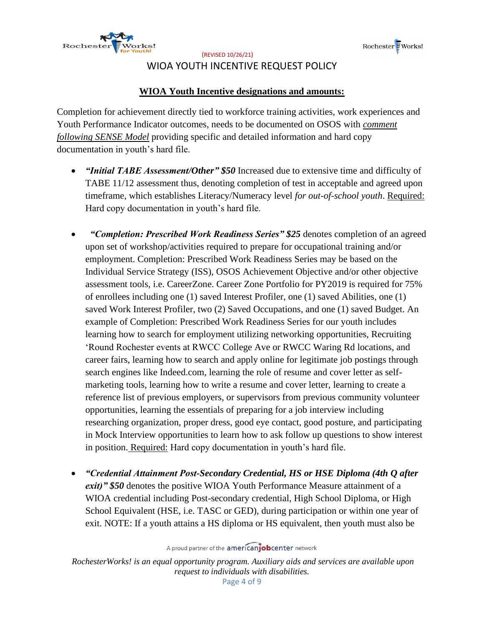



# WIOA YOUTH INCENTIVE REQUEST POLICY

## **WIOA Youth Incentive designations and amounts:**

Completion for achievement directly tied to workforce training activities, work experiences and Youth Performance Indicator outcomes, needs to be documented on OSOS with *comment following SENSE Model* providing specific and detailed information and hard copy documentation in youth's hard file.

- *"Initial TABE Assessment/Other" \$50* Increased due to extensive time and difficulty of TABE 11/12 assessment thus, denoting completion of test in acceptable and agreed upon timeframe, which establishes Literacy/Numeracy level *for out-of-school youth*. Required: Hard copy documentation in youth's hard file.
- *"Completion: Prescribed Work Readiness Series" \$25* denotes completion of an agreed upon set of workshop/activities required to prepare for occupational training and/or employment. Completion: Prescribed Work Readiness Series may be based on the Individual Service Strategy (ISS), OSOS Achievement Objective and/or other objective assessment tools, i.e. CareerZone. Career Zone Portfolio for PY2019 is required for 75% of enrollees including one (1) saved Interest Profiler, one (1) saved Abilities, one (1) saved Work Interest Profiler, two (2) Saved Occupations, and one (1) saved Budget. An example of Completion: Prescribed Work Readiness Series for our youth includes learning how to search for employment utilizing networking opportunities, Recruiting 'Round Rochester events at RWCC College Ave or RWCC Waring Rd locations, and career fairs, learning how to search and apply online for legitimate job postings through search engines like Indeed.com, learning the role of resume and cover letter as selfmarketing tools, learning how to write a resume and cover letter, learning to create a reference list of previous employers, or supervisors from previous community volunteer opportunities, learning the essentials of preparing for a job interview including researching organization, proper dress, good eye contact, good posture, and participating in Mock Interview opportunities to learn how to ask follow up questions to show interest in position. Required: Hard copy documentation in youth's hard file.
- *"Credential Attainment Post-Secondary Credential, HS or HSE Diploma (4th Q after exit)" \$50* denotes the positive WIOA Youth Performance Measure attainment of a WIOA credential including Post-secondary credential, High School Diploma, or High School Equivalent (HSE, i.e. TASC or GED), during participation or within one year of exit. NOTE: If a youth attains a HS diploma or HS equivalent, then youth must also be

A proud partner of the americanjobcenter network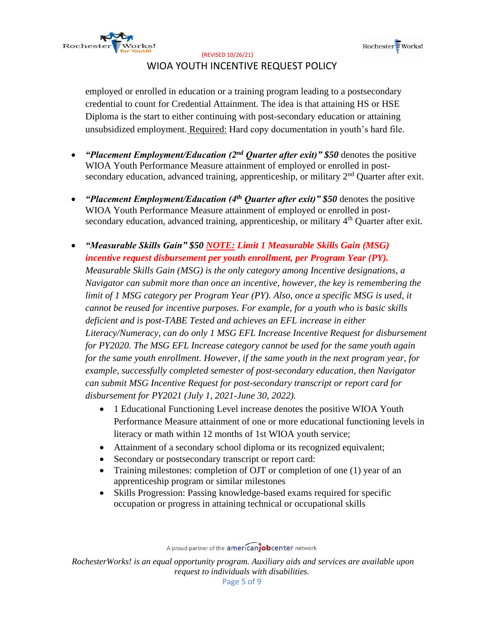



# WIOA YOUTH INCENTIVE REQUEST POLICY

employed or enrolled in education or a training program leading to a postsecondary credential to count for Credential Attainment. The idea is that attaining HS or HSE Diploma is the start to either continuing with post-secondary education or attaining unsubsidized employment. Required: Hard copy documentation in youth's hard file.

- *"Placement Employment/Education (2nd Quarter after exit)" \$50* denotes the positive WIOA Youth Performance Measure attainment of employed or enrolled in postsecondary education, advanced training, apprenticeship, or military  $2<sup>nd</sup>$  Quarter after exit.
- *"Placement Employment/Education (4th Quarter after exit)" \$50* denotes the positive WIOA Youth Performance Measure attainment of employed or enrolled in postsecondary education, advanced training, apprenticeship, or military  $4<sup>th</sup>$  Quarter after exit.
- *"Measurable Skills Gain" \$50 NOTE: Limit 1 Measurable Skills Gain (MSG) incentive request disbursement per youth enrollment, per Program Year (PY). Measurable Skills Gain (MSG) is the only category among Incentive designations, a Navigator can submit more than once an incentive, however, the key is remembering the*  limit of 1 MSG category per Program Year (PY). Also, once a specific MSG is used, it *cannot be reused for incentive purposes. For example, for a youth who is basic skills deficient and is post-TABE Tested and achieves an EFL increase in either Literacy/Numeracy, can do only 1 MSG EFL Increase Incentive Request for disbursement for PY2020. The MSG EFL Increase category cannot be used for the same youth again for the same youth enrollment. However, if the same youth in the next program year, for example, successfully completed semester of post-secondary education, then Navigator can submit MSG Incentive Request for post-secondary transcript or report card for disbursement for PY2021 (July 1, 2021-June 30, 2022).*
	- 1 Educational Functioning Level increase denotes the positive WIOA Youth Performance Measure attainment of one or more educational functioning levels in literacy or math within 12 months of 1st WIOA youth service;
	- Attainment of a secondary school diploma or its recognized equivalent;
	- Secondary or postsecondary transcript or report card:
	- Training milestones: completion of OJT or completion of one (1) year of an apprenticeship program or similar milestones
	- Skills Progression: Passing knowledge-based exams required for specific occupation or progress in attaining technical or occupational skills

A proud partner of the americanjobcenter network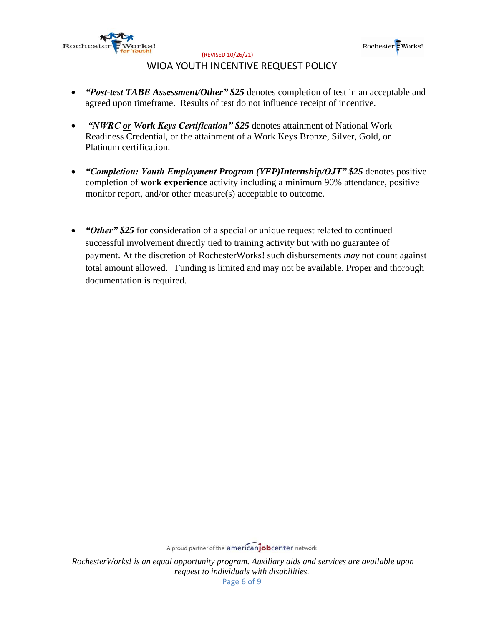



# WIOA YOUTH INCENTIVE REQUEST POLICY

- *"Post-test TABE Assessment/Other" \$25* denotes completion of test in an acceptable and agreed upon timeframe. Results of test do not influence receipt of incentive.
- *"NWRC or Work Keys Certification" \$25* denotes attainment of National Work Readiness Credential, or the attainment of a Work Keys Bronze, Silver, Gold, or Platinum certification.
- *"Completion: Youth Employment Program (YEP)Internship/OJT" \$25* denotes positive completion of **work experience** activity including a minimum 90% attendance, positive monitor report, and/or other measure(s) acceptable to outcome.
- *"Other" \$25* for consideration of a special or unique request related to continued successful involvement directly tied to training activity but with no guarantee of payment. At the discretion of RochesterWorks! such disbursements *may* not count against total amount allowed. Funding is limited and may not be available. Proper and thorough documentation is required.

A proud partner of the americanjobcenter network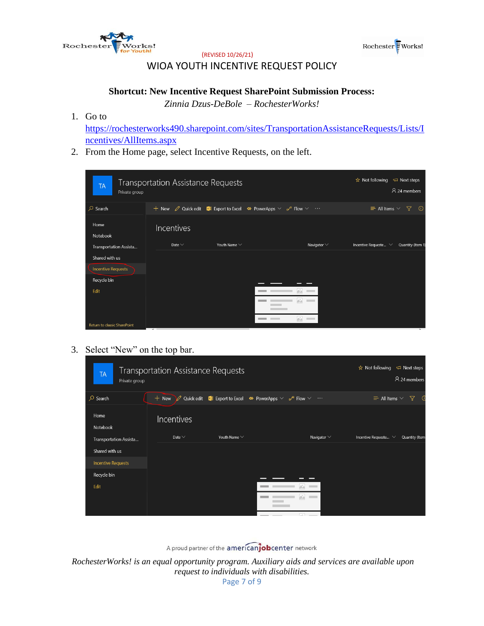



# WIOA YOUTH INCENTIVE REQUEST POLICY

#### **Shortcut: New Incentive Request SharePoint Submission Process:**

*Zinnia Dzus-DeBole – RochesterWorks!*

1. Go to

[https://rochesterworks490.sharepoint.com/sites/TransportationAssistanceRequests/Lists/I](https://rochesterworks490.sharepoint.com/sites/TransportationAssistanceRequests/Lists/Incentives/AllItems.aspx) [ncentives/AllItems.aspx](https://rochesterworks490.sharepoint.com/sites/TransportationAssistanceRequests/Lists/Incentives/AllItems.aspx)

2. From the Home page, select Incentive Requests, on the left.

| <b>TA</b><br>Private group   | <b>Transportation Assistance Requests</b>                                                                                |                   |                                | $\overrightarrow{x}$ Not following $\overrightarrow{ }$ Next steps<br>A 24 members |
|------------------------------|--------------------------------------------------------------------------------------------------------------------------|-------------------|--------------------------------|------------------------------------------------------------------------------------|
| $\varphi$ Search             | + New $\oslash$ Quick edit <b>X</b> Export to Excel $\rightsquigarrow$ PowerApps $\vee \neg \omega^a$ Flow $\vee \cdots$ |                   |                                | $\equiv$ All Items $\vee$<br>了<br>$\odot$                                          |
| Home<br>Notebook             | Incentives                                                                                                               |                   |                                |                                                                                    |
| Transportation Assista       | Date $\vee$                                                                                                              | Youth Name $\vee$ | Navigator $\vee$               | Incentive Requeste $\vee$<br>Quantity (Item 1)                                     |
| Shared with us               |                                                                                                                          |                   |                                |                                                                                    |
| <b>Incentive Requests</b>    |                                                                                                                          |                   |                                |                                                                                    |
| Recycle bin                  |                                                                                                                          |                   |                                |                                                                                    |
| Edit                         |                                                                                                                          |                   |                                |                                                                                    |
|                              |                                                                                                                          |                   | $\Delta_{\mu\nu}^{\mu}$        |                                                                                    |
| Return to classic SharePoint |                                                                                                                          |                   | W.<br><b>Contract Contract</b> |                                                                                    |

## 3. Select "New" on the top bar.

| <b>TA</b><br>Private group | <b>Transportation Assistance Requests</b> |                   |                                                                                                    |                  | $\hat{\mathbf{x}}$ Not following $\Box$ Next steps | A 24 members    |
|----------------------------|-------------------------------------------|-------------------|----------------------------------------------------------------------------------------------------|------------------|----------------------------------------------------|-----------------|
| $\circ$ Search             | $+$ New                                   |                   | Quick edit <b>X</b> Export to Excel $\otimes$ PowerApps $\vee \circ \vee$ Flow $\vee \circ \cdots$ |                  | $\equiv$ All Items $\vee$                          | $\triangledown$ |
| Home<br>Notebook           | Incentives                                |                   |                                                                                                    |                  |                                                    |                 |
| Transportation Assista     | Date $\vee$                               | Youth Name $\vee$ |                                                                                                    | Navigator $\vee$ | Incentive Requeste $\vee$                          | Quantity (Item  |
| Shared with us             |                                           |                   |                                                                                                    |                  |                                                    |                 |
| <b>Incentive Requests</b>  |                                           |                   |                                                                                                    |                  |                                                    |                 |
| Recycle bin                |                                           |                   |                                                                                                    |                  |                                                    |                 |
| Edit                       |                                           |                   |                                                                                                    | 65               |                                                    |                 |
|                            |                                           |                   |                                                                                                    | W.               |                                                    |                 |
|                            |                                           |                   |                                                                                                    |                  |                                                    |                 |

A proud partner of the americanjobcenter network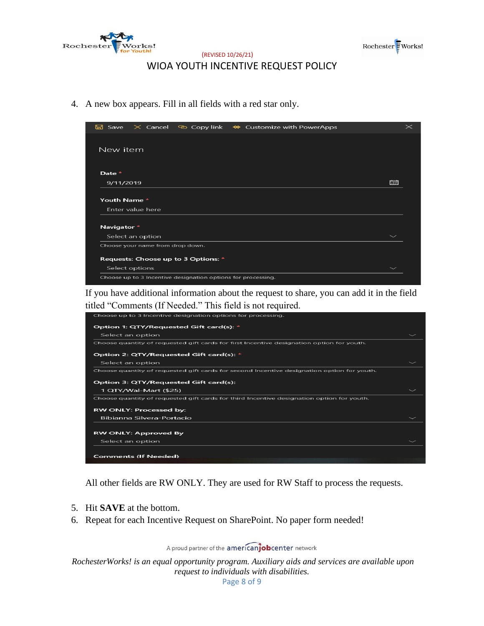



#### (REVISED 10/26/21) WIOA YOUTH INCENTIVE REQUEST POLICY

4. A new box appears. Fill in all fields with a red star only.



If you have additional information about the request to share, you can add it in the field titled "Comments (If Needed." This field is not required.

| Choose up to 3 Incentive designation options for processing.                               |  |
|--------------------------------------------------------------------------------------------|--|
| Option 1: QTY/Requested Gift card(s): *                                                    |  |
| Select an option                                                                           |  |
| Choose quantity of requested gift cards for first Incentive designation option for youth.  |  |
| Option 2: QTY/Requested Gift card(s): *                                                    |  |
| Select an option                                                                           |  |
| Choose quantity of requested gift cards for second Incentive designation option for youth. |  |
| Option 3: QTY/Requested Gift card(s):                                                      |  |
| 1 QTY/Wal-Mart (\$25)                                                                      |  |
| Choose quantity of requested gift cards for third Incentive designation option for youth.  |  |
| <b>RW ONLY: Processed by:</b>                                                              |  |
| Bibianna Silvera-Portacio                                                                  |  |
|                                                                                            |  |
| <b>RW ONLY: Approved By</b>                                                                |  |
| Select an option                                                                           |  |
|                                                                                            |  |
| <b>Comments (If Needed)</b>                                                                |  |

All other fields are RW ONLY. They are used for RW Staff to process the requests.

- 5. Hit **SAVE** at the bottom.
- 6. Repeat for each Incentive Request on SharePoint. No paper form needed!

A proud partner of the americanjobcenter network